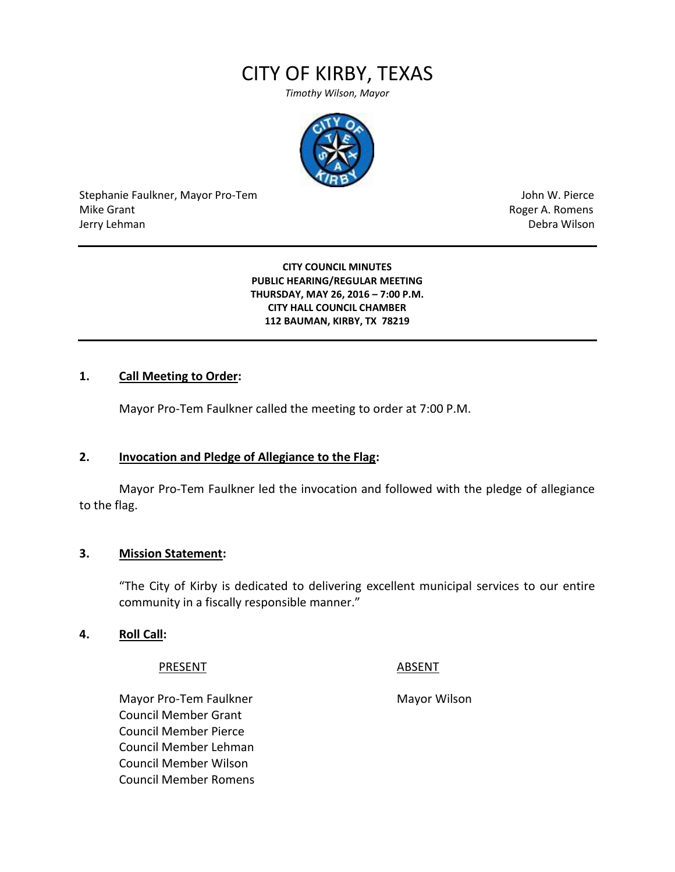# CITY OF KIRBY, TEXAS

*Timothy Wilson, Mayor*



Stephanie Faulkner, Mayor Pro-Tem John W. Pierce Mike Grant **Mike Grant** Roger A. Romens **Contract A. Romens Roger A. Romens** Jerry Lehman Debra Wilson (2008) and the state of the state of the state of the state of the state of the state of the state of the state of the state of the state of the state of the state of the state of the state of the

#### **CITY COUNCIL MINUTES PUBLIC HEARING/REGULAR MEETING THURSDAY, MAY 26, 2016 – 7:00 P.M. CITY HALL COUNCIL CHAMBER 112 BAUMAN, KIRBY, TX 78219**

#### **1. Call Meeting to Order:**

Mayor Pro-Tem Faulkner called the meeting to order at 7:00 P.M.

#### **2. Invocation and Pledge of Allegiance to the Flag:**

Mayor Pro-Tem Faulkner led the invocation and followed with the pledge of allegiance to the flag.

#### **3. Mission Statement:**

"The City of Kirby is dedicated to delivering excellent municipal services to our entire community in a fiscally responsible manner."

#### **4. Roll Call:**

#### PRESENT ABSENT

Mayor Pro-Tem Faulkner Mayor Wilson Council Member Grant Council Member Pierce Council Member Lehman Council Member Wilson Council Member Romens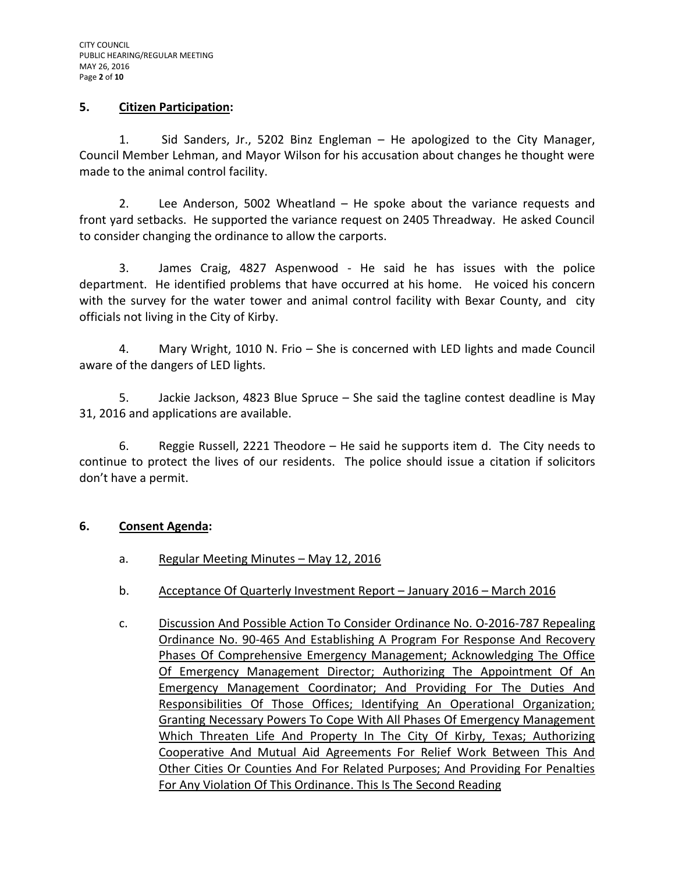#### **5. Citizen Participation:**

1. Sid Sanders, Jr., 5202 Binz Engleman – He apologized to the City Manager, Council Member Lehman, and Mayor Wilson for his accusation about changes he thought were made to the animal control facility.

2. Lee Anderson, 5002 Wheatland – He spoke about the variance requests and front yard setbacks. He supported the variance request on 2405 Threadway. He asked Council to consider changing the ordinance to allow the carports.

3. James Craig, 4827 Aspenwood - He said he has issues with the police department. He identified problems that have occurred at his home. He voiced his concern with the survey for the water tower and animal control facility with Bexar County, and city officials not living in the City of Kirby.

4. Mary Wright, 1010 N. Frio – She is concerned with LED lights and made Council aware of the dangers of LED lights.

5. Jackie Jackson, 4823 Blue Spruce – She said the tagline contest deadline is May 31, 2016 and applications are available.

6. Reggie Russell, 2221 Theodore – He said he supports item d. The City needs to continue to protect the lives of our residents. The police should issue a citation if solicitors don't have a permit.

#### **6. Consent Agenda:**

- a. Regular Meeting Minutes May 12, 2016
- b. Acceptance Of Quarterly Investment Report January 2016 March 2016
- c. Discussion And Possible Action To Consider Ordinance No. O-2016-787 Repealing Ordinance No. 90-465 And Establishing A Program For Response And Recovery Phases Of Comprehensive Emergency Management; Acknowledging The Office Of Emergency Management Director; Authorizing The Appointment Of An Emergency Management Coordinator; And Providing For The Duties And Responsibilities Of Those Offices; Identifying An Operational Organization; Granting Necessary Powers To Cope With All Phases Of Emergency Management Which Threaten Life And Property In The City Of Kirby, Texas; Authorizing Cooperative And Mutual Aid Agreements For Relief Work Between This And Other Cities Or Counties And For Related Purposes; And Providing For Penalties For Any Violation Of This Ordinance. This Is The Second Reading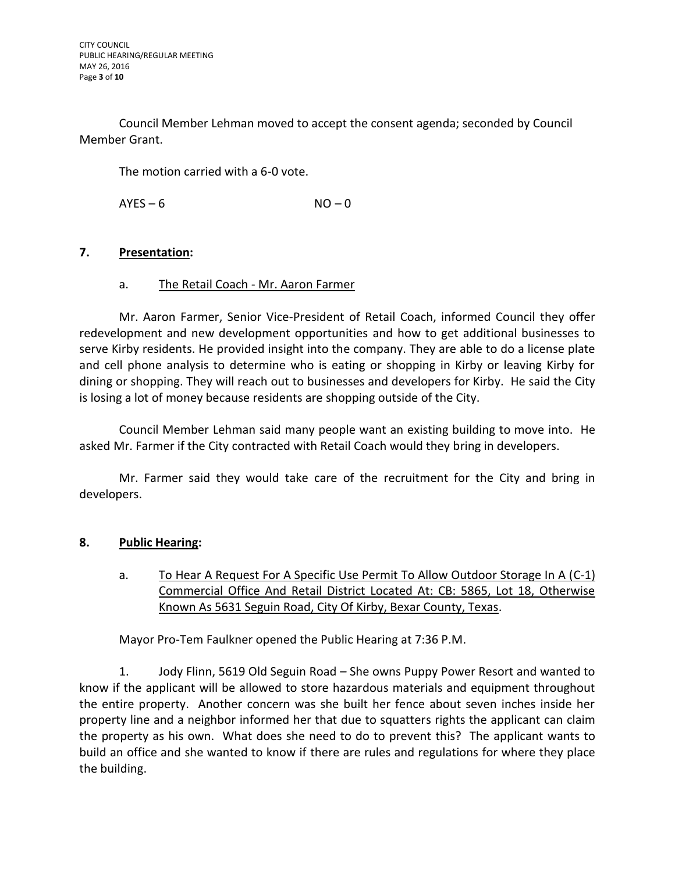Council Member Lehman moved to accept the consent agenda; seconded by Council Member Grant.

The motion carried with a 6-0 vote.

 $AYFS - 6$   $NO - 0$ 

### **7. Presentation:**

#### a. The Retail Coach - Mr. Aaron Farmer

Mr. Aaron Farmer, Senior Vice-President of Retail Coach, informed Council they offer redevelopment and new development opportunities and how to get additional businesses to serve Kirby residents. He provided insight into the company. They are able to do a license plate and cell phone analysis to determine who is eating or shopping in Kirby or leaving Kirby for dining or shopping. They will reach out to businesses and developers for Kirby. He said the City is losing a lot of money because residents are shopping outside of the City.

Council Member Lehman said many people want an existing building to move into. He asked Mr. Farmer if the City contracted with Retail Coach would they bring in developers.

Mr. Farmer said they would take care of the recruitment for the City and bring in developers.

# **8. Public Hearing:**

a. To Hear A Request For A Specific Use Permit To Allow Outdoor Storage In A (C-1) Commercial Office And Retail District Located At: CB: 5865, Lot 18, Otherwise Known As 5631 Seguin Road, City Of Kirby, Bexar County, Texas.

Mayor Pro-Tem Faulkner opened the Public Hearing at 7:36 P.M.

1. Jody Flinn, 5619 Old Seguin Road – She owns Puppy Power Resort and wanted to know if the applicant will be allowed to store hazardous materials and equipment throughout the entire property. Another concern was she built her fence about seven inches inside her property line and a neighbor informed her that due to squatters rights the applicant can claim the property as his own. What does she need to do to prevent this? The applicant wants to build an office and she wanted to know if there are rules and regulations for where they place the building.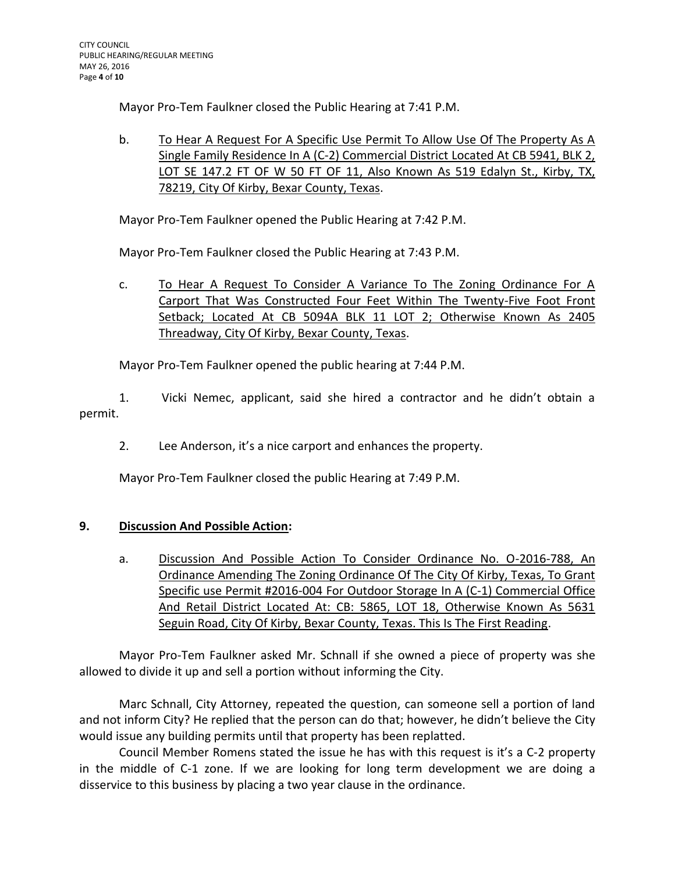Mayor Pro-Tem Faulkner closed the Public Hearing at 7:41 P.M.

b. To Hear A Request For A Specific Use Permit To Allow Use Of The Property As A Single Family Residence In A (C-2) Commercial District Located At CB 5941, BLK 2, LOT SE 147.2 FT OF W 50 FT OF 11, Also Known As 519 Edalyn St., Kirby, TX, 78219, City Of Kirby, Bexar County, Texas.

Mayor Pro-Tem Faulkner opened the Public Hearing at 7:42 P.M.

Mayor Pro-Tem Faulkner closed the Public Hearing at 7:43 P.M.

c. To Hear A Request To Consider A Variance To The Zoning Ordinance For A Carport That Was Constructed Four Feet Within The Twenty-Five Foot Front Setback; Located At CB 5094A BLK 11 LOT 2; Otherwise Known As 2405 Threadway, City Of Kirby, Bexar County, Texas.

Mayor Pro-Tem Faulkner opened the public hearing at 7:44 P.M.

1. Vicki Nemec, applicant, said she hired a contractor and he didn't obtain a permit.

2. Lee Anderson, it's a nice carport and enhances the property.

Mayor Pro-Tem Faulkner closed the public Hearing at 7:49 P.M.

# **9. Discussion And Possible Action:**

a. Discussion And Possible Action To Consider Ordinance No. O-2016-788, An Ordinance Amending The Zoning Ordinance Of The City Of Kirby, Texas, To Grant Specific use Permit #2016-004 For Outdoor Storage In A (C-1) Commercial Office And Retail District Located At: CB: 5865, LOT 18, Otherwise Known As 5631 Seguin Road, City Of Kirby, Bexar County, Texas. This Is The First Reading.

Mayor Pro-Tem Faulkner asked Mr. Schnall if she owned a piece of property was she allowed to divide it up and sell a portion without informing the City.

Marc Schnall, City Attorney, repeated the question, can someone sell a portion of land and not inform City? He replied that the person can do that; however, he didn't believe the City would issue any building permits until that property has been replatted.

Council Member Romens stated the issue he has with this request is it's a C-2 property in the middle of C-1 zone. If we are looking for long term development we are doing a disservice to this business by placing a two year clause in the ordinance.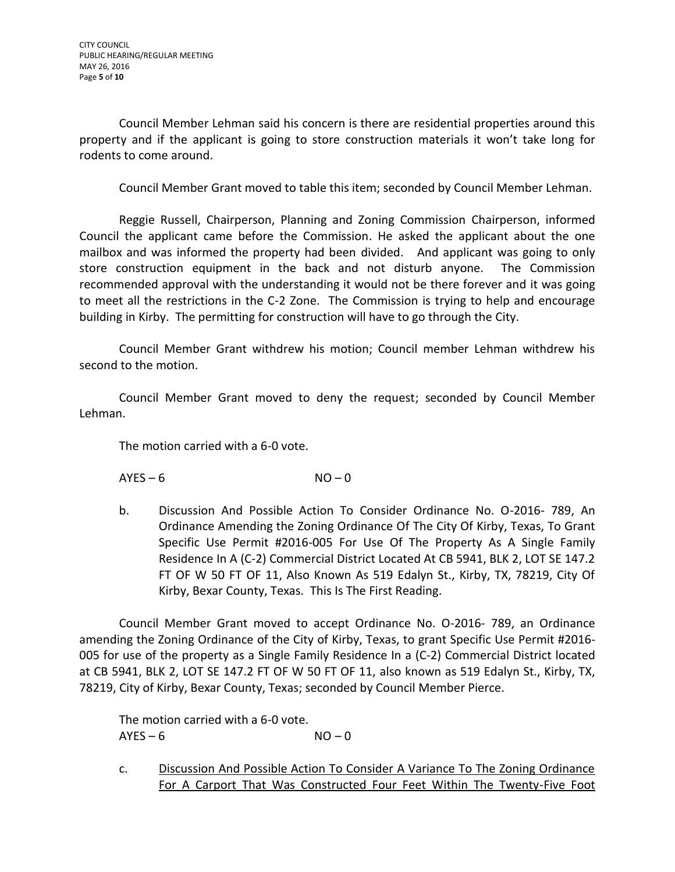Council Member Lehman said his concern is there are residential properties around this property and if the applicant is going to store construction materials it won't take long for rodents to come around.

Council Member Grant moved to table this item; seconded by Council Member Lehman.

Reggie Russell, Chairperson, Planning and Zoning Commission Chairperson, informed Council the applicant came before the Commission. He asked the applicant about the one mailbox and was informed the property had been divided. And applicant was going to only store construction equipment in the back and not disturb anyone. The Commission recommended approval with the understanding it would not be there forever and it was going to meet all the restrictions in the C-2 Zone. The Commission is trying to help and encourage building in Kirby. The permitting for construction will have to go through the City.

Council Member Grant withdrew his motion; Council member Lehman withdrew his second to the motion.

Council Member Grant moved to deny the request; seconded by Council Member Lehman.

The motion carried with a 6-0 vote.

 $AYES - 6$   $NO - 0$ 

b. Discussion And Possible Action To Consider Ordinance No. O-2016- 789, An Ordinance Amending the Zoning Ordinance Of The City Of Kirby, Texas, To Grant Specific Use Permit #2016-005 For Use Of The Property As A Single Family Residence In A (C-2) Commercial District Located At CB 5941, BLK 2, LOT SE 147.2 FT OF W 50 FT OF 11, Also Known As 519 Edalyn St., Kirby, TX, 78219, City Of Kirby, Bexar County, Texas. This Is The First Reading.

Council Member Grant moved to accept Ordinance No. O-2016- 789, an Ordinance amending the Zoning Ordinance of the City of Kirby, Texas, to grant Specific Use Permit #2016- 005 for use of the property as a Single Family Residence In a (C-2) Commercial District located at CB 5941, BLK 2, LOT SE 147.2 FT OF W 50 FT OF 11, also known as 519 Edalyn St., Kirby, TX, 78219, City of Kirby, Bexar County, Texas; seconded by Council Member Pierce.

The motion carried with a 6-0 vote.  $AYES - 6$   $NO - 0$ 

c. Discussion And Possible Action To Consider A Variance To The Zoning Ordinance For A Carport That Was Constructed Four Feet Within The Twenty-Five Foot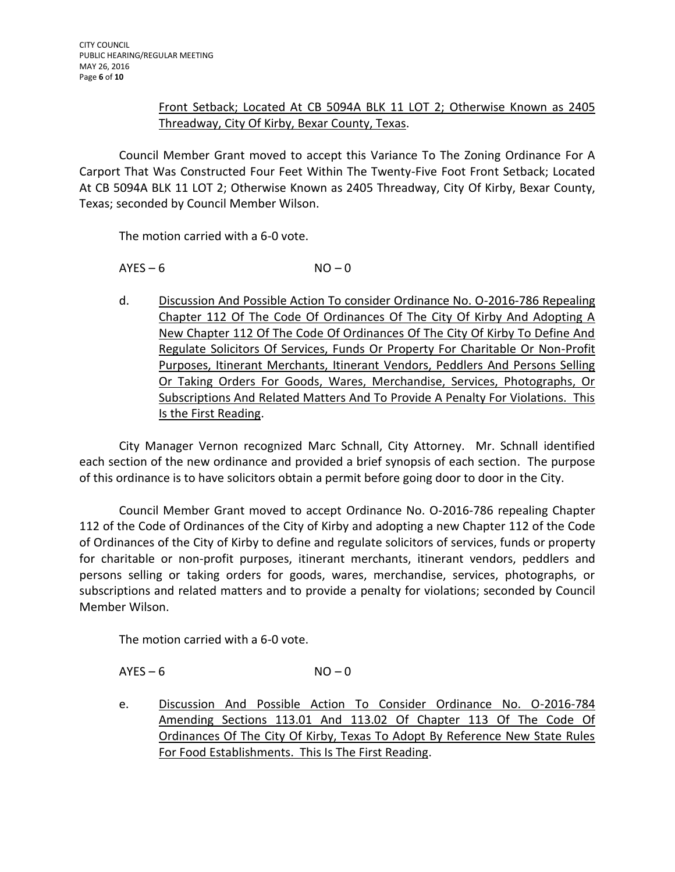## Front Setback; Located At CB 5094A BLK 11 LOT 2; Otherwise Known as 2405 Threadway, City Of Kirby, Bexar County, Texas.

Council Member Grant moved to accept this Variance To The Zoning Ordinance For A Carport That Was Constructed Four Feet Within The Twenty-Five Foot Front Setback; Located At CB 5094A BLK 11 LOT 2; Otherwise Known as 2405 Threadway, City Of Kirby, Bexar County, Texas; seconded by Council Member Wilson.

The motion carried with a 6-0 vote.

 $AYES - 6$   $NO - 0$ 

d. Discussion And Possible Action To consider Ordinance No. O-2016-786 Repealing Chapter 112 Of The Code Of Ordinances Of The City Of Kirby And Adopting A New Chapter 112 Of The Code Of Ordinances Of The City Of Kirby To Define And Regulate Solicitors Of Services, Funds Or Property For Charitable Or Non-Profit Purposes, Itinerant Merchants, Itinerant Vendors, Peddlers And Persons Selling Or Taking Orders For Goods, Wares, Merchandise, Services, Photographs, Or Subscriptions And Related Matters And To Provide A Penalty For Violations. This Is the First Reading.

City Manager Vernon recognized Marc Schnall, City Attorney. Mr. Schnall identified each section of the new ordinance and provided a brief synopsis of each section. The purpose of this ordinance is to have solicitors obtain a permit before going door to door in the City.

Council Member Grant moved to accept Ordinance No. O-2016-786 repealing Chapter 112 of the Code of Ordinances of the City of Kirby and adopting a new Chapter 112 of the Code of Ordinances of the City of Kirby to define and regulate solicitors of services, funds or property for charitable or non-profit purposes, itinerant merchants, itinerant vendors, peddlers and persons selling or taking orders for goods, wares, merchandise, services, photographs, or subscriptions and related matters and to provide a penalty for violations; seconded by Council Member Wilson.

The motion carried with a 6-0 vote.

 $AYES - 6$   $NO - 0$ 

e. Discussion And Possible Action To Consider Ordinance No. O-2016-784 Amending Sections 113.01 And 113.02 Of Chapter 113 Of The Code Of Ordinances Of The City Of Kirby, Texas To Adopt By Reference New State Rules For Food Establishments. This Is The First Reading.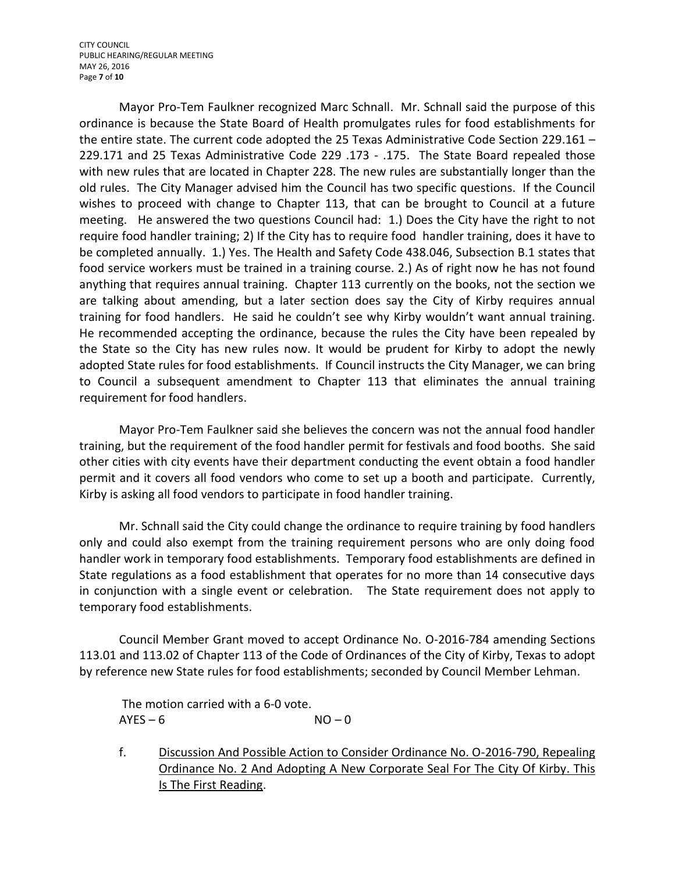CITY COUNCIL PUBLIC HEARING/REGULAR MEETING MAY 26, 2016 Page **7** of **10**

Mayor Pro-Tem Faulkner recognized Marc Schnall. Mr. Schnall said the purpose of this ordinance is because the State Board of Health promulgates rules for food establishments for the entire state. The current code adopted the 25 Texas Administrative Code Section 229.161 – 229.171 and 25 Texas Administrative Code 229 .173 - .175. The State Board repealed those with new rules that are located in Chapter 228. The new rules are substantially longer than the old rules. The City Manager advised him the Council has two specific questions. If the Council wishes to proceed with change to Chapter 113, that can be brought to Council at a future meeting. He answered the two questions Council had: 1.) Does the City have the right to not require food handler training; 2) If the City has to require food handler training, does it have to be completed annually. 1.) Yes. The Health and Safety Code 438.046, Subsection B.1 states that food service workers must be trained in a training course. 2.) As of right now he has not found anything that requires annual training. Chapter 113 currently on the books, not the section we are talking about amending, but a later section does say the City of Kirby requires annual training for food handlers. He said he couldn't see why Kirby wouldn't want annual training. He recommended accepting the ordinance, because the rules the City have been repealed by the State so the City has new rules now. It would be prudent for Kirby to adopt the newly adopted State rules for food establishments. If Council instructs the City Manager, we can bring to Council a subsequent amendment to Chapter 113 that eliminates the annual training requirement for food handlers.

Mayor Pro-Tem Faulkner said she believes the concern was not the annual food handler training, but the requirement of the food handler permit for festivals and food booths. She said other cities with city events have their department conducting the event obtain a food handler permit and it covers all food vendors who come to set up a booth and participate. Currently, Kirby is asking all food vendors to participate in food handler training.

Mr. Schnall said the City could change the ordinance to require training by food handlers only and could also exempt from the training requirement persons who are only doing food handler work in temporary food establishments. Temporary food establishments are defined in State regulations as a food establishment that operates for no more than 14 consecutive days in conjunction with a single event or celebration. The State requirement does not apply to temporary food establishments.

Council Member Grant moved to accept Ordinance No. O-2016-784 amending Sections 113.01 and 113.02 of Chapter 113 of the Code of Ordinances of the City of Kirby, Texas to adopt by reference new State rules for food establishments; seconded by Council Member Lehman.

The motion carried with a 6-0 vote.  $AYES - 6$   $NO - 0$ 

f. Discussion And Possible Action to Consider Ordinance No. O-2016-790, Repealing Ordinance No. 2 And Adopting A New Corporate Seal For The City Of Kirby. This Is The First Reading.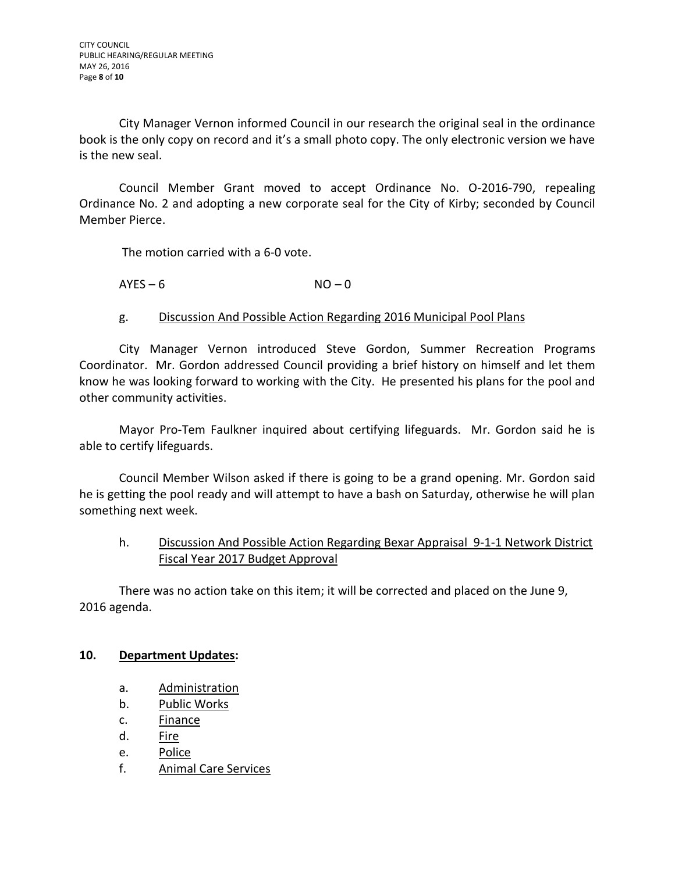City Manager Vernon informed Council in our research the original seal in the ordinance book is the only copy on record and it's a small photo copy. The only electronic version we have is the new seal.

Council Member Grant moved to accept Ordinance No. O-2016-790, repealing Ordinance No. 2 and adopting a new corporate seal for the City of Kirby; seconded by Council Member Pierce.

The motion carried with a 6-0 vote.

 $AYES - 6$   $NO - 0$ 

### g. Discussion And Possible Action Regarding 2016 Municipal Pool Plans

City Manager Vernon introduced Steve Gordon, Summer Recreation Programs Coordinator. Mr. Gordon addressed Council providing a brief history on himself and let them know he was looking forward to working with the City. He presented his plans for the pool and other community activities.

Mayor Pro-Tem Faulkner inquired about certifying lifeguards. Mr. Gordon said he is able to certify lifeguards.

Council Member Wilson asked if there is going to be a grand opening. Mr. Gordon said he is getting the pool ready and will attempt to have a bash on Saturday, otherwise he will plan something next week.

# h. Discussion And Possible Action Regarding Bexar Appraisal 9-1-1 Network District Fiscal Year 2017 Budget Approval

There was no action take on this item; it will be corrected and placed on the June 9, 2016 agenda.

#### **10. Department Updates:**

- a. Administration
- b. Public Works
- c. Finance
- d. <u>Fire</u>
- e. Police
- f. Animal Care Services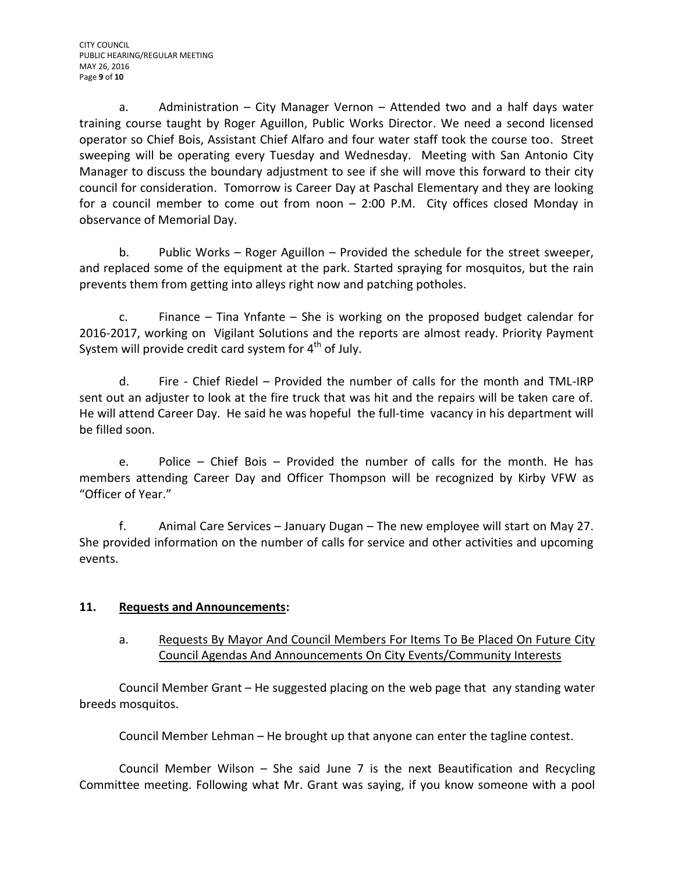a. Administration – City Manager Vernon – Attended two and a half days water training course taught by Roger Aguillon, Public Works Director. We need a second licensed operator so Chief Bois, Assistant Chief Alfaro and four water staff took the course too. Street sweeping will be operating every Tuesday and Wednesday. Meeting with San Antonio City Manager to discuss the boundary adjustment to see if she will move this forward to their city council for consideration. Tomorrow is Career Day at Paschal Elementary and they are looking for a council member to come out from noon – 2:00 P.M. City offices closed Monday in observance of Memorial Day.

b. Public Works – Roger Aguillon – Provided the schedule for the street sweeper, and replaced some of the equipment at the park. Started spraying for mosquitos, but the rain prevents them from getting into alleys right now and patching potholes.

c. Finance – Tina Ynfante – She is working on the proposed budget calendar for 2016-2017, working on Vigilant Solutions and the reports are almost ready. Priority Payment System will provide credit card system for 4<sup>th</sup> of July.

d. Fire - Chief Riedel – Provided the number of calls for the month and TML-IRP sent out an adjuster to look at the fire truck that was hit and the repairs will be taken care of. He will attend Career Day. He said he was hopeful the full-time vacancy in his department will be filled soon.

e. Police – Chief Bois – Provided the number of calls for the month. He has members attending Career Day and Officer Thompson will be recognized by Kirby VFW as "Officer of Year."

f. Animal Care Services – January Dugan – The new employee will start on May 27. She provided information on the number of calls for service and other activities and upcoming events.

# **11. Requests and Announcements:**

a. Requests By Mayor And Council Members For Items To Be Placed On Future City Council Agendas And Announcements On City Events/Community Interests

Council Member Grant – He suggested placing on the web page that any standing water breeds mosquitos.

Council Member Lehman – He brought up that anyone can enter the tagline contest.

Council Member Wilson – She said June 7 is the next Beautification and Recycling Committee meeting. Following what Mr. Grant was saying, if you know someone with a pool